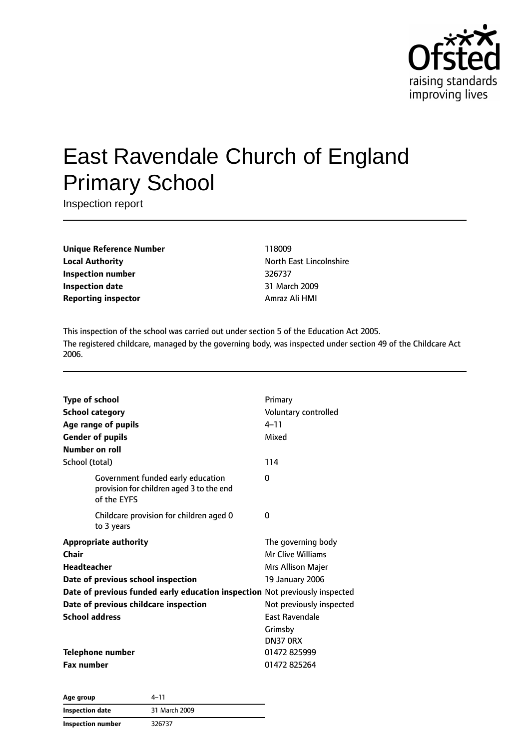

# East Ravendale Church of England Primary School

Inspection report

**Unique Reference Number** 118009 **Local Authority North East Lincolnshire Inspection number** 326737 **Inspection date** 31 March 2009 **Reporting inspector** Amraz Ali HMI

This inspection of the school was carried out under section 5 of the Education Act 2005. The registered childcare, managed by the governing body, was inspected under section 49 of the Childcare Act 2006.

| <b>Type of school</b><br><b>School category</b><br>Age range of pupils<br><b>Gender of pupils</b><br>Number on roll                                                                                                                                | Primary<br>Voluntary controlled<br>$4 - 11$<br>Mixed                                                                                        |
|----------------------------------------------------------------------------------------------------------------------------------------------------------------------------------------------------------------------------------------------------|---------------------------------------------------------------------------------------------------------------------------------------------|
| School (total)                                                                                                                                                                                                                                     | 114                                                                                                                                         |
| Government funded early education<br>provision for children aged 3 to the end<br>of the EYFS                                                                                                                                                       | 0                                                                                                                                           |
| Childcare provision for children aged 0<br>to 3 years                                                                                                                                                                                              | 0                                                                                                                                           |
| <b>Appropriate authority</b><br>Chair<br><b>Headteacher</b><br>Date of previous school inspection<br>Date of previous funded early education inspection Not previously inspected<br>Date of previous childcare inspection<br><b>School address</b> | The governing body<br><b>Mr Clive Williams</b><br>Mrs Allison Majer<br>19 January 2006<br>Not previously inspected<br><b>East Ravendale</b> |
| <b>Telephone number</b><br><b>Fax number</b>                                                                                                                                                                                                       | Grimsby<br><b>DN37 0RX</b><br>01472 825999<br>01472825264                                                                                   |

**Age group** 4–11 **Inspection date** 31 March 2009 **Inspection number** 326737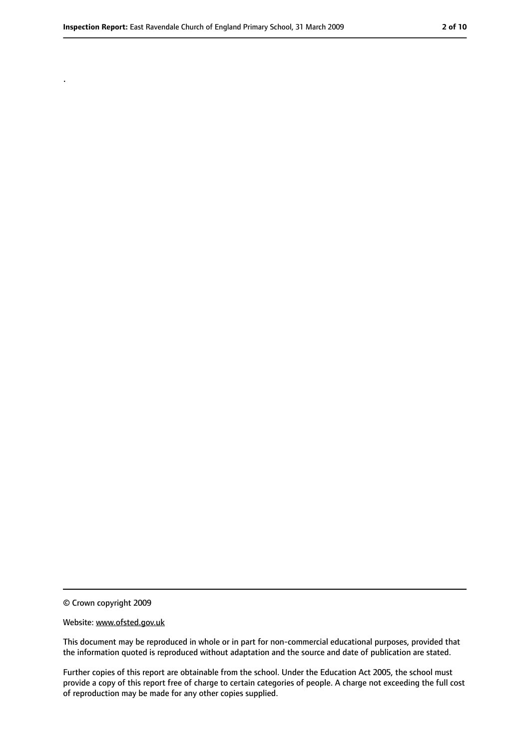.

<sup>©</sup> Crown copyright 2009

Website: www.ofsted.gov.uk

This document may be reproduced in whole or in part for non-commercial educational purposes, provided that the information quoted is reproduced without adaptation and the source and date of publication are stated.

Further copies of this report are obtainable from the school. Under the Education Act 2005, the school must provide a copy of this report free of charge to certain categories of people. A charge not exceeding the full cost of reproduction may be made for any other copies supplied.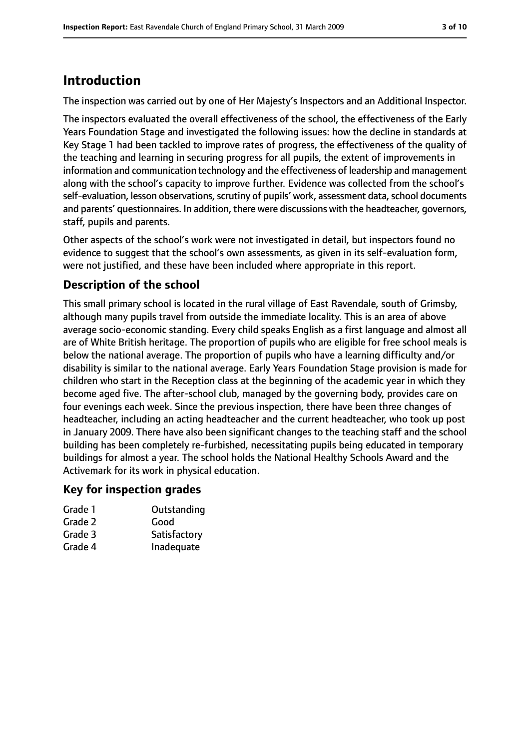# **Introduction**

The inspection was carried out by one of Her Majesty's Inspectors and an Additional Inspector.

The inspectors evaluated the overall effectiveness of the school, the effectiveness of the Early Years Foundation Stage and investigated the following issues: how the decline in standards at Key Stage 1 had been tackled to improve rates of progress, the effectiveness of the quality of the teaching and learning in securing progress for all pupils, the extent of improvements in information and communication technology and the effectiveness of leadership and management along with the school's capacity to improve further. Evidence was collected from the school's self-evaluation, lesson observations, scrutiny of pupils' work, assessment data, school documents and parents' questionnaires. In addition, there were discussions with the headteacher, governors, staff, pupils and parents.

Other aspects of the school's work were not investigated in detail, but inspectors found no evidence to suggest that the school's own assessments, as given in its self-evaluation form, were not justified, and these have been included where appropriate in this report.

## **Description of the school**

This small primary school is located in the rural village of East Ravendale, south of Grimsby, although many pupils travel from outside the immediate locality. This is an area of above average socio-economic standing. Every child speaks English as a first language and almost all are of White British heritage. The proportion of pupils who are eligible for free school meals is below the national average. The proportion of pupils who have a learning difficulty and/or disability is similar to the national average. Early Years Foundation Stage provision is made for children who start in the Reception class at the beginning of the academic year in which they become aged five. The after-school club, managed by the governing body, provides care on four evenings each week. Since the previous inspection, there have been three changes of headteacher, including an acting headteacher and the current headteacher, who took up post in January 2009. There have also been significant changes to the teaching staff and the school building has been completely re-furbished, necessitating pupils being educated in temporary buildings for almost a year. The school holds the National Healthy Schools Award and the Activemark for its work in physical education.

#### **Key for inspection grades**

| Grade 1 | Outstanding  |
|---------|--------------|
| Grade 2 | Good         |
| Grade 3 | Satisfactory |
| Grade 4 | Inadequate   |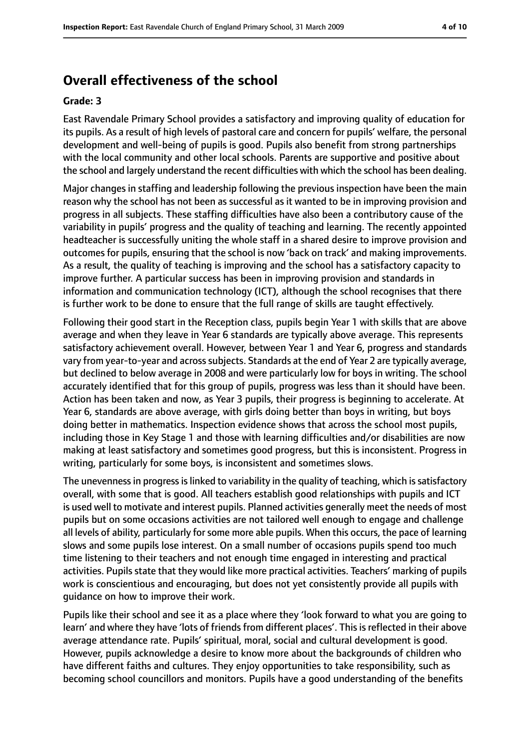# **Overall effectiveness of the school**

#### **Grade: 3**

East Ravendale Primary School provides a satisfactory and improving quality of education for its pupils. As a result of high levels of pastoral care and concern for pupils' welfare, the personal development and well-being of pupils is good. Pupils also benefit from strong partnerships with the local community and other local schools. Parents are supportive and positive about the school and largely understand the recent difficulties with which the school has been dealing.

Major changes in staffing and leadership following the previous inspection have been the main reason why the school has not been as successful as it wanted to be in improving provision and progress in all subjects. These staffing difficulties have also been a contributory cause of the variability in pupils' progress and the quality of teaching and learning. The recently appointed headteacher is successfully uniting the whole staff in a shared desire to improve provision and outcomes for pupils, ensuring that the school is now 'back on track' and making improvements. As a result, the quality of teaching is improving and the school has a satisfactory capacity to improve further. A particular success has been in improving provision and standards in information and communication technology (ICT), although the school recognises that there is further work to be done to ensure that the full range of skills are taught effectively.

Following their good start in the Reception class, pupils begin Year 1 with skills that are above average and when they leave in Year 6 standards are typically above average. This represents satisfactory achievement overall. However, between Year 1 and Year 6, progress and standards vary from year-to-year and across subjects. Standards at the end of Year 2 are typically average, but declined to below average in 2008 and were particularly low for boys in writing. The school accurately identified that for this group of pupils, progress was less than it should have been. Action has been taken and now, as Year 3 pupils, their progress is beginning to accelerate. At Year 6, standards are above average, with girls doing better than boys in writing, but boys doing better in mathematics. Inspection evidence shows that across the school most pupils, including those in Key Stage 1 and those with learning difficulties and/or disabilities are now making at least satisfactory and sometimes good progress, but this is inconsistent. Progress in writing, particularly for some boys, is inconsistent and sometimes slows.

The unevenness in progress is linked to variability in the quality of teaching, which is satisfactory overall, with some that is good. All teachers establish good relationships with pupils and ICT is used well to motivate and interest pupils. Planned activities generally meet the needs of most pupils but on some occasions activities are not tailored well enough to engage and challenge all levels of ability, particularly for some more able pupils. When this occurs, the pace of learning slows and some pupils lose interest. On a small number of occasions pupils spend too much time listening to their teachers and not enough time engaged in interesting and practical activities. Pupils state that they would like more practical activities. Teachers' marking of pupils work is conscientious and encouraging, but does not yet consistently provide all pupils with guidance on how to improve their work.

Pupils like their school and see it as a place where they 'look forward to what you are going to learn' and where they have 'lots of friends from different places'. This is reflected in their above average attendance rate. Pupils' spiritual, moral, social and cultural development is good. However, pupils acknowledge a desire to know more about the backgrounds of children who have different faiths and cultures. They enjoy opportunities to take responsibility, such as becoming school councillors and monitors. Pupils have a good understanding of the benefits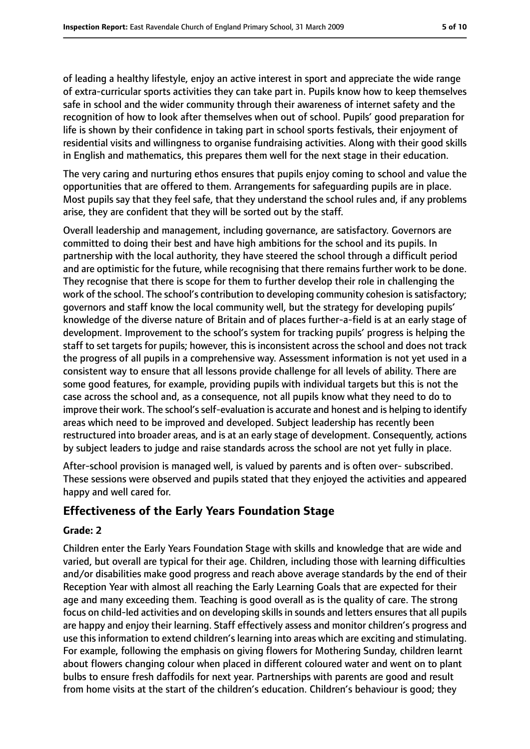of leading a healthy lifestyle, enjoy an active interest in sport and appreciate the wide range of extra-curricular sports activities they can take part in. Pupils know how to keep themselves safe in school and the wider community through their awareness of internet safety and the recognition of how to look after themselves when out of school. Pupils' good preparation for life is shown by their confidence in taking part in school sports festivals, their enjoyment of residential visits and willingness to organise fundraising activities. Along with their good skills in English and mathematics, this prepares them well for the next stage in their education.

The very caring and nurturing ethos ensures that pupils enjoy coming to school and value the opportunities that are offered to them. Arrangements for safeguarding pupils are in place. Most pupils say that they feel safe, that they understand the school rules and, if any problems arise, they are confident that they will be sorted out by the staff.

Overall leadership and management, including governance, are satisfactory. Governors are committed to doing their best and have high ambitions for the school and its pupils. In partnership with the local authority, they have steered the school through a difficult period and are optimistic for the future, while recognising that there remains further work to be done. They recognise that there is scope for them to further develop their role in challenging the work of the school. The school's contribution to developing community cohesion is satisfactory; governors and staff know the local community well, but the strategy for developing pupils' knowledge of the diverse nature of Britain and of places further-a-field is at an early stage of development. Improvement to the school's system for tracking pupils' progress is helping the staff to set targets for pupils; however, this is inconsistent across the school and does not track the progress of all pupils in a comprehensive way. Assessment information is not yet used in a consistent way to ensure that all lessons provide challenge for all levels of ability. There are some good features, for example, providing pupils with individual targets but this is not the case across the school and, as a consequence, not all pupils know what they need to do to improve their work. The school's self-evaluation is accurate and honest and is helping to identify areas which need to be improved and developed. Subject leadership has recently been restructured into broader areas, and is at an early stage of development. Consequently, actions by subject leaders to judge and raise standards across the school are not yet fully in place.

After-school provision is managed well, is valued by parents and is often over- subscribed. These sessions were observed and pupils stated that they enjoyed the activities and appeared happy and well cared for.

## **Effectiveness of the Early Years Foundation Stage**

#### **Grade: 2**

Children enter the Early Years Foundation Stage with skills and knowledge that are wide and varied, but overall are typical for their age. Children, including those with learning difficulties and/or disabilities make good progress and reach above average standards by the end of their Reception Year with almost all reaching the Early Learning Goals that are expected for their age and many exceeding them. Teaching is good overall as is the quality of care. The strong focus on child-led activities and on developing skills in sounds and letters ensures that all pupils are happy and enjoy their learning. Staff effectively assess and monitor children's progress and use this information to extend children's learning into areas which are exciting and stimulating. For example, following the emphasis on giving flowers for Mothering Sunday, children learnt about flowers changing colour when placed in different coloured water and went on to plant bulbs to ensure fresh daffodils for next year. Partnerships with parents are good and result from home visits at the start of the children's education. Children's behaviour is good; they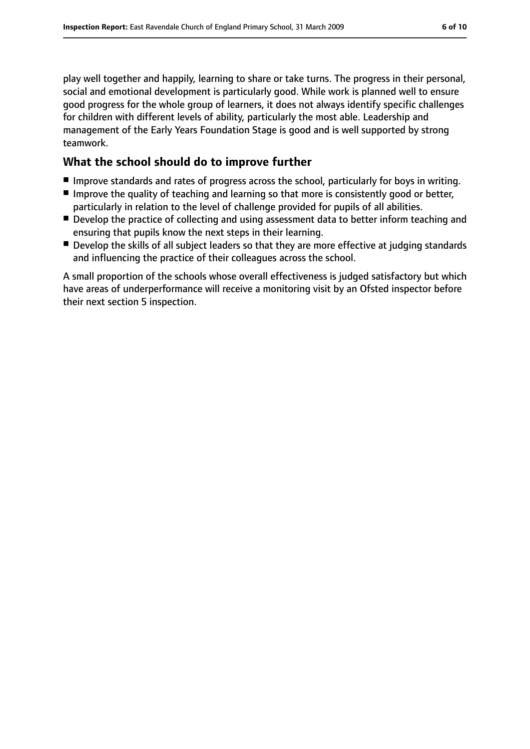play well together and happily, learning to share or take turns. The progress in their personal, social and emotional development is particularly good. While work is planned well to ensure good progress for the whole group of learners, it does not always identify specific challenges for children with different levels of ability, particularly the most able. Leadership and management of the Early Years Foundation Stage is good and is well supported by strong teamwork.

## **What the school should do to improve further**

- Improve standards and rates of progress across the school, particularly for boys in writing.
- Improve the quality of teaching and learning so that more is consistently good or better, particularly in relation to the level of challenge provided for pupils of all abilities.
- Develop the practice of collecting and using assessment data to better inform teaching and ensuring that pupils know the next steps in their learning.
- Develop the skills of all subject leaders so that they are more effective at judging standards and influencing the practice of their colleagues across the school.

A small proportion of the schools whose overall effectiveness is judged satisfactory but which have areas of underperformance will receive a monitoring visit by an Ofsted inspector before their next section 5 inspection.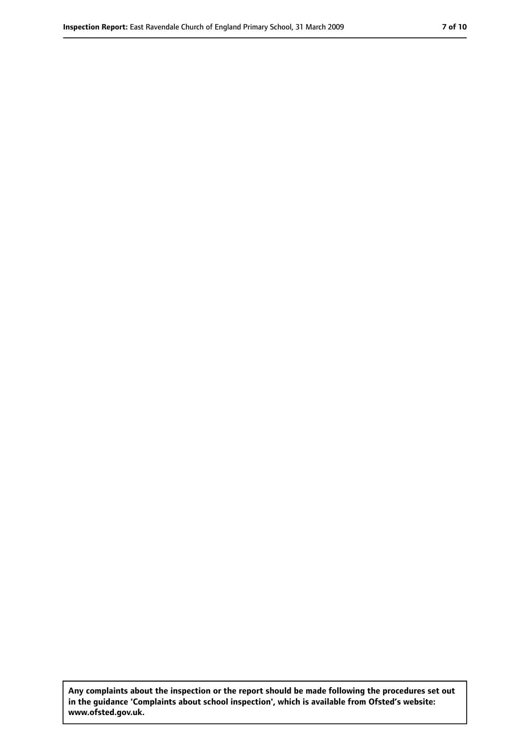**Any complaints about the inspection or the report should be made following the procedures set out in the guidance 'Complaints about school inspection', which is available from Ofsted's website: www.ofsted.gov.uk.**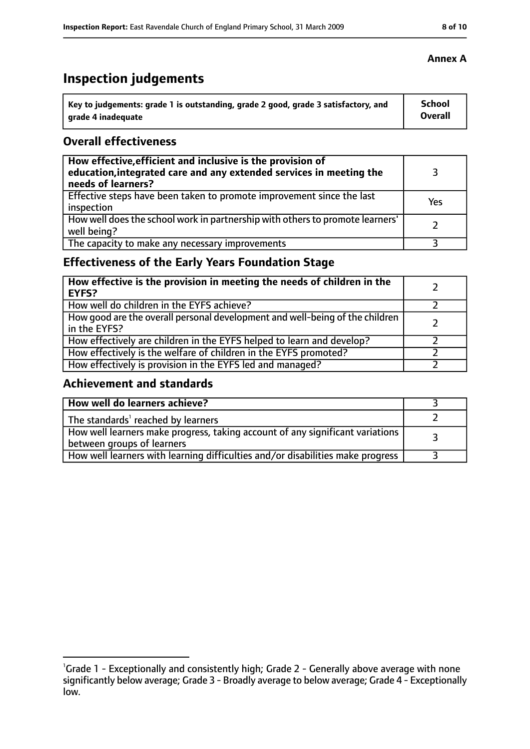# **Inspection judgements**

| Key to judgements: grade 1 is outstanding, grade 2 good, grade 3 satisfactory, and | <b>School</b>  |
|------------------------------------------------------------------------------------|----------------|
| arade 4 inadequate                                                                 | <b>Overall</b> |

## **Overall effectiveness**

| How effective, efficient and inclusive is the provision of<br>education, integrated care and any extended services in meeting the<br>needs of learners? |     |
|---------------------------------------------------------------------------------------------------------------------------------------------------------|-----|
| Effective steps have been taken to promote improvement since the last<br>inspection                                                                     | Yes |
| How well does the school work in partnership with others to promote learners'<br>well being?                                                            |     |
| The capacity to make any necessary improvements                                                                                                         |     |

## **Effectiveness of the Early Years Foundation Stage**

| How effective is the provision in meeting the needs of children in the<br>l EYFS?            |  |
|----------------------------------------------------------------------------------------------|--|
| How well do children in the EYFS achieve?                                                    |  |
| How good are the overall personal development and well-being of the children<br>in the EYFS? |  |
| How effectively are children in the EYFS helped to learn and develop?                        |  |
| How effectively is the welfare of children in the EYFS promoted?                             |  |
| How effectively is provision in the EYFS led and managed?                                    |  |

## **Achievement and standards**

| How well do learners achieve?                                                                               |  |
|-------------------------------------------------------------------------------------------------------------|--|
| The standards <sup>1</sup> reached by learners                                                              |  |
| How well learners make progress, taking account of any significant variations<br>between groups of learners |  |
| How well learners with learning difficulties and/or disabilities make progress                              |  |

#### **Annex A**

<sup>&</sup>lt;sup>1</sup>Grade 1 - Exceptionally and consistently high; Grade 2 - Generally above average with none significantly below average; Grade 3 - Broadly average to below average; Grade 4 - Exceptionally low.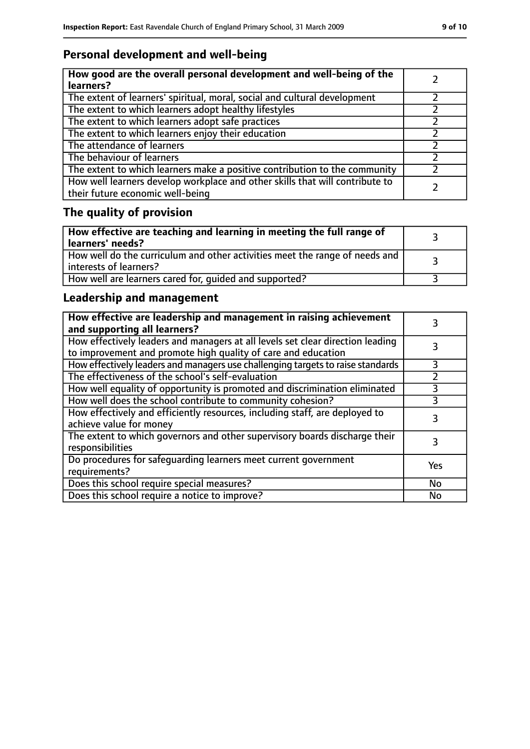## **Personal development and well-being**

| How good are the overall personal development and well-being of the<br>learners?                                 |  |
|------------------------------------------------------------------------------------------------------------------|--|
| The extent of learners' spiritual, moral, social and cultural development                                        |  |
| The extent to which learners adopt healthy lifestyles                                                            |  |
| The extent to which learners adopt safe practices                                                                |  |
| The extent to which learners enjoy their education                                                               |  |
| The attendance of learners                                                                                       |  |
| The behaviour of learners                                                                                        |  |
| The extent to which learners make a positive contribution to the community                                       |  |
| How well learners develop workplace and other skills that will contribute to<br>their future economic well-being |  |

# **The quality of provision**

| How effective are teaching and learning in meeting the full range of<br>learners' needs?                |  |
|---------------------------------------------------------------------------------------------------------|--|
| How well do the curriculum and other activities meet the range of needs and<br>  interests of learners? |  |
| How well are learners cared for, quided and supported?                                                  |  |

## **Leadership and management**

| How effective are leadership and management in raising achievement<br>and supporting all learners?                                              |           |
|-------------------------------------------------------------------------------------------------------------------------------------------------|-----------|
| How effectively leaders and managers at all levels set clear direction leading<br>to improvement and promote high quality of care and education |           |
| How effectively leaders and managers use challenging targets to raise standards                                                                 | 3         |
| The effectiveness of the school's self-evaluation                                                                                               |           |
| How well equality of opportunity is promoted and discrimination eliminated                                                                      |           |
| How well does the school contribute to community cohesion?                                                                                      | 3         |
| How effectively and efficiently resources, including staff, are deployed to<br>achieve value for money                                          | 3         |
| The extent to which governors and other supervisory boards discharge their<br>responsibilities                                                  | 3         |
| Do procedures for safequarding learners meet current government<br>requirements?                                                                | Yes       |
| Does this school require special measures?                                                                                                      | No        |
| Does this school require a notice to improve?                                                                                                   | <b>No</b> |